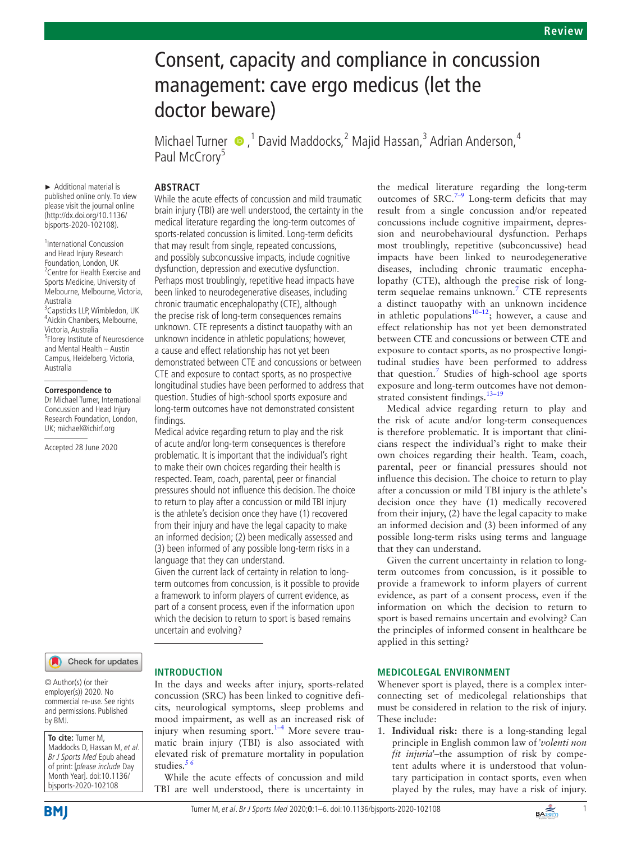# Consent, capacity and compliance in concussion management: cave ergo medicus (let the doctor beware)

Michael Turner  $\bullet$ , <sup>1</sup> David Maddocks, <sup>2</sup> Majid Hassan, <sup>3</sup> Adrian Anderson, <sup>4</sup> Paul McCrory<sup>5</sup>

## **ABSTRACT**

► Additional material is published online only. To view please visit the journal online (http://dx.doi.org/10.1136/ bjsports-2020-102108).

1 International Concussion and Head Injury Research Foundation, London, UK 2 Centre for Health Exercise and Sports Medicine, University of Melbourne, Melbourne, Victoria, Australia <sup>3</sup> Capsticks LLP, Wimbledon, UK 4 Aickin Chambers, Melbourne, Victoria, Australia 5 Florey Institute of Neuroscience and Mental Health – Austin Campus, Heidelberg, Victoria, Australia

#### **Correspondence to**

Dr Michael Turner, International Concussion and Head Injury Research Foundation, London, UK; michael@ichirf.org

Accepted 28 June 2020

While the acute effects of concussion and mild traumatic brain injury (TBI) are well understood, the certainty in the medical literature regarding the long-term outcomes of sports-related concussion is limited. Long-term deficits that may result from single, repeated concussions, and possibly subconcussive impacts, include cognitive dysfunction, depression and executive dysfunction. Perhaps most troublingly, repetitive head impacts have been linked to neurodegenerative diseases, including chronic traumatic encephalopathy (CTE), although the precise risk of long-term consequences remains unknown. CTE represents a distinct tauopathy with an unknown incidence in athletic populations; however, a cause and effect relationship has not yet been demonstrated between CTE and concussions or between CTE and exposure to contact sports, as no prospective longitudinal studies have been performed to address that question. Studies of high-school sports exposure and long-term outcomes have not demonstrated consistent findings.

Medical advice regarding return to play and the risk of acute and/or long-term consequences is therefore problematic. It is important that the individual's right to make their own choices regarding their health is respected. Team, coach, parental, peer or financial pressures should not influence this decision. The choice to return to play after a concussion or mild TBI injury is the athlete's decision once they have (1) recovered from their injury and have the legal capacity to make an informed decision; (2) been medically assessed and (3) been informed of any possible long-term risks in a language that they can understand. Given the current lack of certainty in relation to long-

term outcomes from concussion, is it possible to provide a framework to inform players of current evidence, as part of a consent process, even if the information upon which the decision to return to sport is based remains uncertain and evolving?

# Check for updates

© Author(s) (or their employer(s)) 2020. No commercial re-use. See rights and permissions. Published by BMJ.

**To cite:** Turner M, Maddocks D, Hassan M, et al. Br J Sports Med Epub ahead of print: [please include Day Month Year]. doi:10.1136/ bjsports-2020-102108

#### **INTRODUCTION**

In the days and weeks after injury, sports-related concussion (SRC) has been linked to cognitive deficits, neurological symptoms, sleep problems and mood impairment, as well as an increased risk of injury when resuming sport. $1-4$  More severe traumatic brain injury (TBI) is also associated with elevated risk of premature mortality in population studies. $56$ 

While the acute effects of concussion and mild TBI are well understood, there is uncertainty in the medical literature regarding the long-term outcomes of  $SRC.<sup>7–9</sup>$  Long-term deficits that may result from a single concussion and/or repeated concussions include cognitive impairment, depression and neurobehavioural dysfunction. Perhaps most troublingly, repetitive (subconcussive) head impacts have been linked to neurodegenerative diseases, including chronic traumatic encephalopathy (CTE), although the precise risk of long-term sequelae remains unknown.<sup>[7](#page-5-2)</sup> CTE represents a distinct tauopathy with an unknown incidence in athletic populations<sup>10-12</sup>; however, a cause and effect relationship has not yet been demonstrated between CTE and concussions or between CTE and exposure to contact sports, as no prospective longitudinal studies have been performed to address that question.<sup>[7](#page-5-2)</sup> Studies of high-school age sports exposure and long-term outcomes have not demonstrated consistent findings.<sup>13-19</sup>

Medical advice regarding return to play and the risk of acute and/or long-term consequences is therefore problematic. It is important that clinicians respect the individual's right to make their own choices regarding their health. Team, coach, parental, peer or financial pressures should not influence this decision. The choice to return to play after a concussion or mild TBI injury is the athlete's decision once they have (1) medically recovered from their injury, (2) have the legal capacity to make an informed decision and (3) been informed of any possible long-term risks using terms and language that they can understand.

Given the current uncertainty in relation to longterm outcomes from concussion, is it possible to provide a framework to inform players of current evidence, as part of a consent process, even if the information on which the decision to return to sport is based remains uncertain and evolving? Can the principles of informed consent in healthcare be applied in this setting?

#### **MEDICOLEGAL ENVIRONMENT**

Whenever sport is played, there is a complex interconnecting set of medicolegal relationships that must be considered in relation to the risk of injury. These include:

1. **Individual risk:** there is a long-standing legal principle in English common law of *'volenti non fit injuria'*–the assumption of risk by competent adults where it is understood that voluntary participation in contact sports, even when played by the rules, may have a risk of injury.



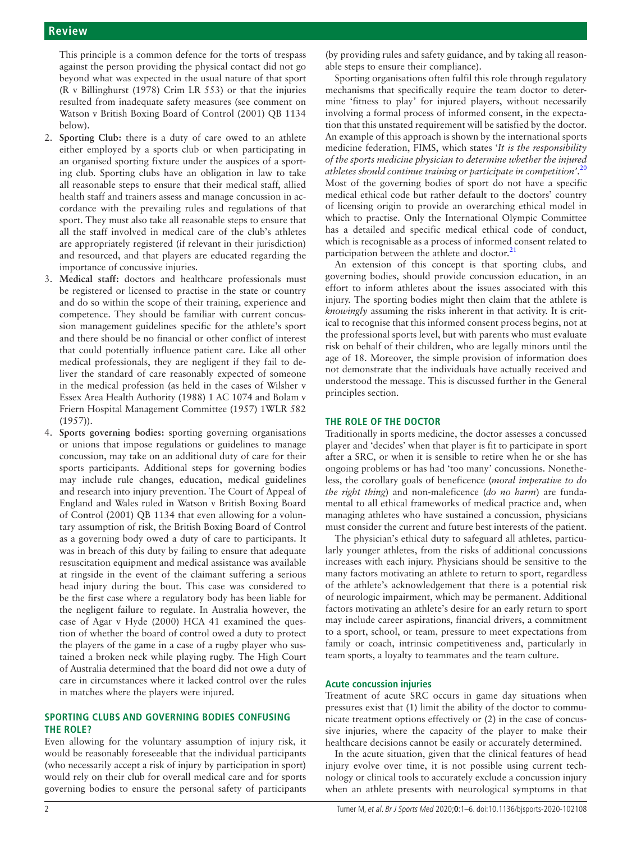This principle is a common defence for the torts of trespass against the person providing the physical contact did not go beyond what was expected in the usual nature of that sport (R v Billinghurst (1978) Crim LR 553) or that the injuries resulted from inadequate safety measures (see comment on Watson v British Boxing Board of Control (2001) QB 1134 below).

- 2. **Sporting Club:** there is a duty of care owed to an athlete either employed by a sports club or when participating in an organised sporting fixture under the auspices of a sporting club. Sporting clubs have an obligation in law to take all reasonable steps to ensure that their medical staff, allied health staff and trainers assess and manage concussion in accordance with the prevailing rules and regulations of that sport. They must also take all reasonable steps to ensure that all the staff involved in medical care of the club's athletes are appropriately registered (if relevant in their jurisdiction) and resourced, and that players are educated regarding the importance of concussive injuries.
- 3. **Medical staff:** doctors and healthcare professionals must be registered or licensed to practise in the state or country and do so within the scope of their training, experience and competence. They should be familiar with current concussion management guidelines specific for the athlete's sport and there should be no financial or other conflict of interest that could potentially influence patient care. Like all other medical professionals, they are negligent if they fail to deliver the standard of care reasonably expected of someone in the medical profession (as held in the cases of Wilsher v Essex Area Health Authority (1988) 1 AC 1074 and Bolam v Friern Hospital Management Committee (1957) 1WLR 582 (1957)).
- 4. **Sports governing bodies:** sporting governing organisations or unions that impose regulations or guidelines to manage concussion, may take on an additional duty of care for their sports participants. Additional steps for governing bodies may include rule changes, education, medical guidelines and research into injury prevention. The Court of Appeal of England and Wales ruled in Watson v British Boxing Board of Control (2001) QB 1134 that even allowing for a voluntary assumption of risk, the British Boxing Board of Control as a governing body owed a duty of care to participants. It was in breach of this duty by failing to ensure that adequate resuscitation equipment and medical assistance was available at ringside in the event of the claimant suffering a serious head injury during the bout. This case was considered to be the first case where a regulatory body has been liable for the negligent failure to regulate. In Australia however, the case of Agar v Hyde (2000) HCA 41 examined the question of whether the board of control owed a duty to protect the players of the game in a case of a rugby player who sustained a broken neck while playing rugby. The High Court of Australia determined that the board did not owe a duty of care in circumstances where it lacked control over the rules in matches where the players were injured.

# **SPORTING CLUBS AND GOVERNING BODIES CONFUSING THE ROLE?**

Even allowing for the voluntary assumption of injury risk, it would be reasonably foreseeable that the individual participants (who necessarily accept a risk of injury by participation in sport) would rely on their club for overall medical care and for sports governing bodies to ensure the personal safety of participants

(by providing rules and safety guidance, and by taking all reasonable steps to ensure their compliance).

Sporting organisations often fulfil this role through regulatory mechanisms that specifically require the team doctor to determine 'fitness to play' for injured players, without necessarily involving a formal process of informed consent, in the expectation that this unstated requirement will be satisfied by the doctor. An example of this approach is shown by the international sports medicine federation, FIMS, which states '*It is the responsibility of the sports medicine physician to determine whether the injured athletes should continue training or participate in competition'*. [20](#page-5-5) Most of the governing bodies of sport do not have a specific medical ethical code but rather default to the doctors' country of licensing origin to provide an overarching ethical model in which to practise. Only the International Olympic Committee has a detailed and specific medical ethical code of conduct, which is recognisable as a process of informed consent related to participation between the athlete and doctor. $2<sup>2</sup>$ 

An extension of this concept is that sporting clubs, and governing bodies, should provide concussion education, in an effort to inform athletes about the issues associated with this injury. The sporting bodies might then claim that the athlete is *knowingly* assuming the risks inherent in that activity. It is critical to recognise that this informed consent process begins, not at the professional sports level, but with parents who must evaluate risk on behalf of their children, who are legally minors until the age of 18. Moreover, the simple provision of information does not demonstrate that the individuals have actually received and understood the message. This is discussed further in the General principles section.

# **THE ROLE OF THE DOCTOR**

Traditionally in sports medicine, the doctor assesses a concussed player and 'decides' when that player is fit to participate in sport after a SRC, or when it is sensible to retire when he or she has ongoing problems or has had 'too many' concussions. Nonetheless, the corollary goals of beneficence (*moral imperative to do the right thing*) and non-maleficence (*do no harm*) are fundamental to all ethical frameworks of medical practice and, when managing athletes who have sustained a concussion, physicians must consider the current and future best interests of the patient.

The physician's ethical duty to safeguard all athletes, particularly younger athletes, from the risks of additional concussions increases with each injury. Physicians should be sensitive to the many factors motivating an athlete to return to sport, regardless of the athlete's acknowledgement that there is a potential risk of neurologic impairment, which may be permanent. Additional factors motivating an athlete's desire for an early return to sport may include career aspirations, financial drivers, a commitment to a sport, school, or team, pressure to meet expectations from family or coach, intrinsic competitiveness and, particularly in team sports, a loyalty to teammates and the team culture.

## **Acute concussion injuries**

Treatment of acute SRC occurs in game day situations when pressures exist that (1) limit the ability of the doctor to communicate treatment options effectively or (2) in the case of concussive injuries, where the capacity of the player to make their healthcare decisions cannot be easily or accurately determined.

In the acute situation, given that the clinical features of head injury evolve over time, it is not possible using current technology or clinical tools to accurately exclude a concussion injury when an athlete presents with neurological symptoms in that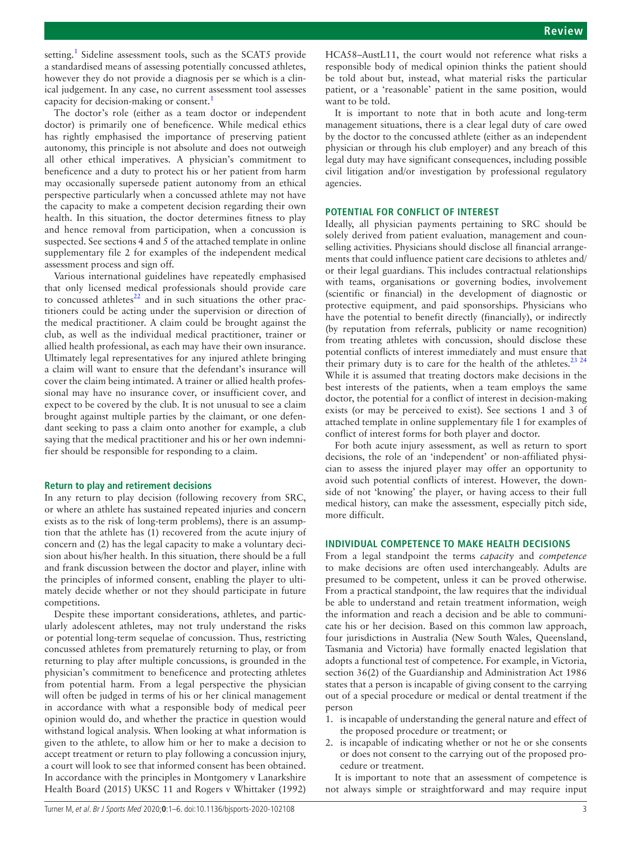setting.<sup>[1](#page-5-0)</sup> Sideline assessment tools, such as the SCAT5 provide a standardised means of assessing potentially concussed athletes, however they do not provide a diagnosis per se which is a clinical judgement. In any case, no current assessment tool assesses capacity for decision-making or consent.<sup>[1](#page-5-0)</sup>

The doctor's role (either as a team doctor or independent doctor) is primarily one of beneficence. While medical ethics has rightly emphasised the importance of preserving patient autonomy, this principle is not absolute and does not outweigh all other ethical imperatives. A physician's commitment to beneficence and a duty to protect his or her patient from harm may occasionally supersede patient autonomy from an ethical perspective particularly when a concussed athlete may not have the capacity to make a competent decision regarding their own health. In this situation, the doctor determines fitness to play and hence removal from participation, when a concussion is suspected. See sections 4 and 5 of the attached template in [online](https://dx.doi.org/10.1136/bjsports-2020-102108)  [supplementary file 2](https://dx.doi.org/10.1136/bjsports-2020-102108) for examples of the independent medical assessment process and sign off.

Various international guidelines have repeatedly emphasised that only licensed medical professionals should provide care to concussed athletes $^{22}$  and in such situations the other practitioners could be acting under the supervision or direction of the medical practitioner. A claim could be brought against the club, as well as the individual medical practitioner, trainer or allied health professional, as each may have their own insurance. Ultimately legal representatives for any injured athlete bringing a claim will want to ensure that the defendant's insurance will cover the claim being intimated. A trainer or allied health professional may have no insurance cover, or insufficient cover, and expect to be covered by the club. It is not unusual to see a claim brought against multiple parties by the claimant, or one defendant seeking to pass a claim onto another for example, a club saying that the medical practitioner and his or her own indemnifier should be responsible for responding to a claim.

#### **Return to play and retirement decisions**

In any return to play decision (following recovery from SRC, or where an athlete has sustained repeated injuries and concern exists as to the risk of long-term problems), there is an assumption that the athlete has (1) recovered from the acute injury of concern and (2) has the legal capacity to make a voluntary decision about his/her health. In this situation, there should be a full and frank discussion between the doctor and player, inline with the principles of informed consent, enabling the player to ultimately decide whether or not they should participate in future competitions.

Despite these important considerations, athletes, and particularly adolescent athletes, may not truly understand the risks or potential long-term sequelae of concussion. Thus, restricting concussed athletes from prematurely returning to play, or from returning to play after multiple concussions, is grounded in the physician's commitment to beneficence and protecting athletes from potential harm. From a legal perspective the physician will often be judged in terms of his or her clinical management in accordance with what a responsible body of medical peer opinion would do, and whether the practice in question would withstand logical analysis. When looking at what information is given to the athlete, to allow him or her to make a decision to accept treatment or return to play following a concussion injury, a court will look to see that informed consent has been obtained. In accordance with the principles in Montgomery v Lanarkshire Health Board (2015) UKSC 11 and Rogers v Whittaker (1992)

HCA58–AustL11, the court would not reference what risks a responsible body of medical opinion thinks the patient should be told about but, instead, what material risks the particular patient, or a 'reasonable' patient in the same position, would want to be told.

It is important to note that in both acute and long-term management situations, there is a clear legal duty of care owed by the doctor to the concussed athlete (either as an independent physician or through his club employer) and any breach of this legal duty may have significant consequences, including possible civil litigation and/or investigation by professional regulatory agencies.

### **POTENTIAL FOR CONFLICT OF INTEREST**

Ideally, all physician payments pertaining to SRC should be solely derived from patient evaluation, management and counselling activities. Physicians should disclose all financial arrangements that could influence patient care decisions to athletes and/ or their legal guardians. This includes contractual relationships with teams, organisations or governing bodies, involvement (scientific or financial) in the development of diagnostic or protective equipment, and paid sponsorships. Physicians who have the potential to benefit directly (financially), or indirectly (by reputation from referrals, publicity or name recognition) from treating athletes with concussion, should disclose these potential conflicts of interest immediately and must ensure that their primary duty is to care for the health of the athletes.<sup>[23 24](#page-5-8)</sup> While it is assumed that treating doctors make decisions in the best interests of the patients, when a team employs the same doctor, the potential for a conflict of interest in decision-making exists (or may be perceived to exist). See sections 1 and 3 of attached template in [online supplementary file 1](https://dx.doi.org/10.1136/bjsports-2020-102108) for examples of conflict of interest forms for both player and doctor.

For both acute injury assessment, as well as return to sport decisions, the role of an 'independent' or non-affiliated physician to assess the injured player may offer an opportunity to avoid such potential conflicts of interest. However, the downside of not 'knowing' the player, or having access to their full medical history, can make the assessment, especially pitch side, more difficult.

## **INDIVIDUAL COMPETENCE TO MAKE HEALTH DECISIONS**

From a legal standpoint the terms *capacity* and *competence* to make decisions are often used interchangeably. Adults are presumed to be competent, unless it can be proved otherwise. From a practical standpoint, the law requires that the individual be able to understand and retain treatment information, weigh the information and reach a decision and be able to communicate his or her decision. Based on this common law approach, four jurisdictions in Australia (New South Wales, Queensland, Tasmania and Victoria) have formally enacted legislation that adopts a functional test of competence. For example, in Victoria, section 36(2) of the Guardianship and Administration Act 1986 states that a person is incapable of giving consent to the carrying out of a special procedure or medical or dental treatment if the person

- 1. is incapable of understanding the general nature and effect of the proposed procedure or treatment; or
- 2. is incapable of indicating whether or not he or she consents or does not consent to the carrying out of the proposed procedure or treatment.

It is important to note that an assessment of competence is not always simple or straightforward and may require input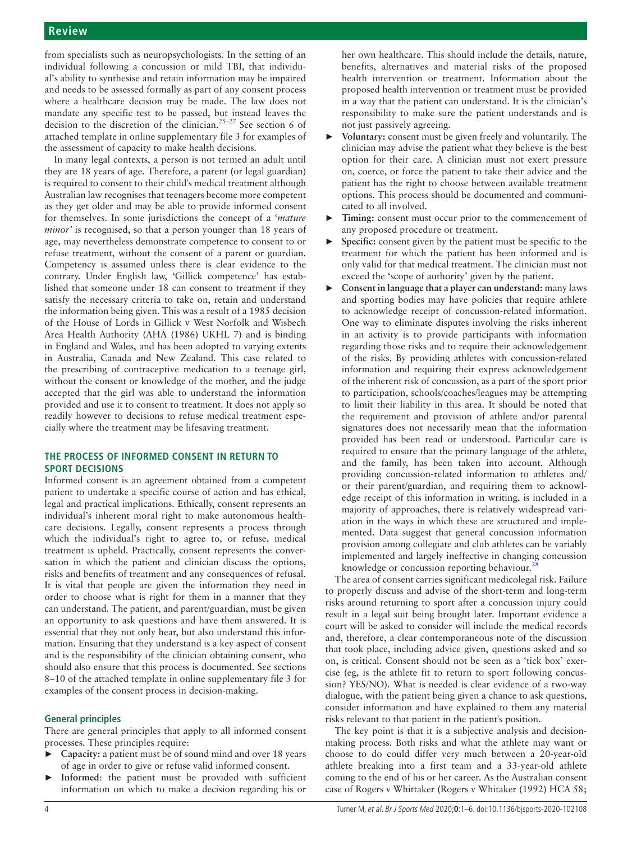from specialists such as neuropsychologists. In the setting of an individual following a concussion or mild TBI, that individual's ability to synthesise and retain information may be impaired and needs to be assessed formally as part of any consent process where a healthcare decision may be made. The law does not mandate any specific test to be passed, but instead leaves the decision to the discretion of the clinician[.25–27](#page-5-9) See section 6 of attached template in [online supplementary file 3](https://dx.doi.org/10.1136/bjsports-2020-102108) for examples of the assessment of capacity to make health decisions.

In many legal contexts, a person is not termed an adult until they are 18 years of age. Therefore, a parent (or legal guardian) is required to consent to their child's medical treatment although Australian law recognises that teenagers become more competent as they get older and may be able to provide informed consent for themselves. In some jurisdictions the concept of a '*mature minor'* is recognised, so that a person younger than 18 years of age, may nevertheless demonstrate competence to consent to or refuse treatment, without the consent of a parent or guardian. Competency is assumed unless there is clear evidence to the contrary. Under English law, 'Gillick competence' has established that someone under 18 can consent to treatment if they satisfy the necessary criteria to take on, retain and understand the information being given. This was a result of a 1985 decision of the House of Lords in Gillick v West Norfolk and Wisbech Area Health Authority (AHA (1986) UKHL 7) and is binding in England and Wales, and has been adopted to varying extents in Australia, Canada and New Zealand. This case related to the prescribing of contraceptive medication to a teenage girl, without the consent or knowledge of the mother, and the judge accepted that the girl was able to understand the information provided and use it to consent to treatment. It does not apply so readily however to decisions to refuse medical treatment especially where the treatment may be lifesaving treatment.

# **THE PROCESS OF INFORMED CONSENT IN RETURN TO SPORT DECISIONS**

Informed consent is an agreement obtained from a competent patient to undertake a specific course of action and has ethical, legal and practical implications. Ethically, consent represents an individual's inherent moral right to make autonomous healthcare decisions. Legally, consent represents a process through which the individual's right to agree to, or refuse, medical treatment is upheld. Practically, consent represents the conversation in which the patient and clinician discuss the options, risks and benefits of treatment and any consequences of refusal. It is vital that people are given the information they need in order to choose what is right for them in a manner that they can understand. The patient, and parent/guardian, must be given an opportunity to ask questions and have them answered. It is essential that they not only hear, but also understand this information. Ensuring that they understand is a key aspect of consent and is the responsibility of the clinician obtaining consent, who should also ensure that this process is documented. See sections 8–10 of the attached template in [online supplementary file 3](https://dx.doi.org/10.1136/bjsports-2020-102108) for examples of the consent process in decision-making.

## **General principles**

There are general principles that apply to all informed consent processes. These principles require:

- ► **Capacity:** a patient must be of sound mind and over 18 years of age in order to give or refuse valid informed consent.
- Informed: the patient must be provided with sufficient information on which to make a decision regarding his or

her own healthcare. This should include the details, nature, benefits, alternatives and material risks of the proposed health intervention or treatment. Information about the proposed health intervention or treatment must be provided in a way that the patient can understand. It is the clinician's responsibility to make sure the patient understands and is not just passively agreeing.

- ► **Voluntary:** consent must be given freely and voluntarily. The clinician may advise the patient what they believe is the best option for their care. A clinician must not exert pressure on, coerce, or force the patient to take their advice and the patient has the right to choose between available treatment options. This process should be documented and communicated to all involved.
- Timing: consent must occur prior to the commencement of any proposed procedure or treatment.
- Specific: consent given by the patient must be specific to the treatment for which the patient has been informed and is only valid for that medical treatment. The clinician must not exceed the 'scope of authority' given by the patient.
- ► **Consent in language that a player can understand:** many laws and sporting bodies may have policies that require athlete to acknowledge receipt of concussion-related information. One way to eliminate disputes involving the risks inherent in an activity is to provide participants with information regarding those risks and to require their acknowledgement of the risks. By providing athletes with concussion-related information and requiring their express acknowledgement of the inherent risk of concussion, as a part of the sport prior to participation, schools/coaches/leagues may be attempting to limit their liability in this area. It should be noted that the requirement and provision of athlete and/or parental signatures does not necessarily mean that the information provided has been read or understood. Particular care is required to ensure that the primary language of the athlete, and the family, has been taken into account. Although providing concussion-related information to athletes and/ or their parent/guardian, and requiring them to acknowledge receipt of this information in writing, is included in a majority of approaches, there is relatively widespread variation in the ways in which these are structured and implemented. Data suggest that general concussion information provision among collegiate and club athletes can be variably implemented and largely ineffective in changing concussion knowledge or concussion reporting behaviour.<sup>28</sup>

The area of consent carries significant medicolegal risk. Failure to properly discuss and advise of the short-term and long-term risks around returning to sport after a concussion injury could result in a legal suit being brought later. Important evidence a court will be asked to consider will include the medical records and, therefore, a clear contemporaneous note of the discussion that took place, including advice given, questions asked and so on, is critical. Consent should not be seen as a 'tick box' exercise (eg, is the athlete fit to return to sport following concussion? YES/NO). What is needed is clear evidence of a two-way dialogue, with the patient being given a chance to ask questions, consider information and have explained to them any material risks relevant to that patient in the patient's position.

The key point is that it is a subjective analysis and decisionmaking process. Both risks and what the athlete may want or choose to do could differ very much between a 20-year-old athlete breaking into a first team and a 33-year-old athlete coming to the end of his or her career. As the Australian consent case of Rogers v Whittaker (Rogers v Whitaker (1992) HCA 58;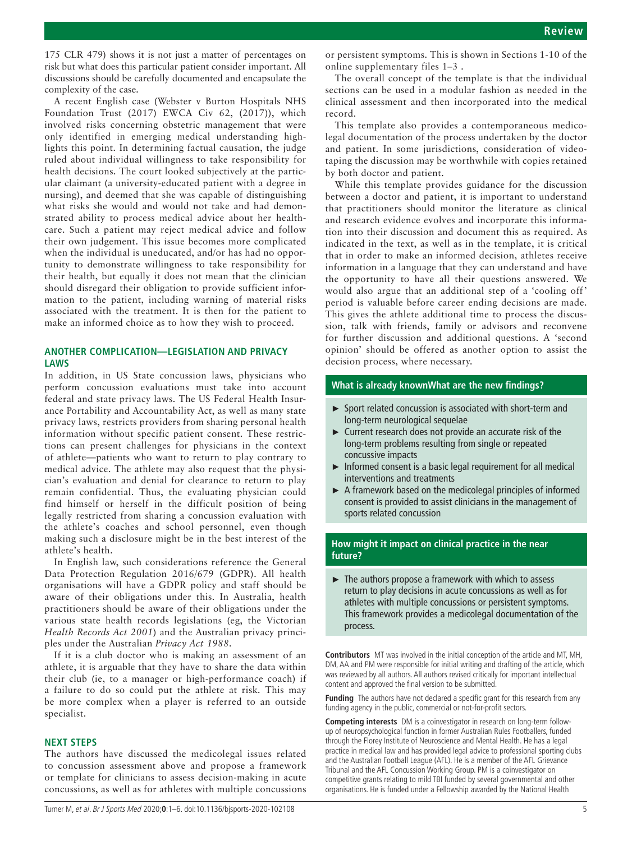175 CLR 479) shows it is not just a matter of percentages on risk but what does this particular patient consider important. All discussions should be carefully documented and encapsulate the complexity of the case.

A recent English case (Webster v Burton Hospitals NHS Foundation Trust (2017) EWCA Civ 62, (2017)), which involved risks concerning obstetric management that were only identified in emerging medical understanding highlights this point. In determining factual causation, the judge ruled about individual willingness to take responsibility for health decisions. The court looked subjectively at the particular claimant (a university-educated patient with a degree in nursing), and deemed that she was capable of distinguishing what risks she would and would not take and had demonstrated ability to process medical advice about her healthcare. Such a patient may reject medical advice and follow their own judgement. This issue becomes more complicated when the individual is uneducated, and/or has had no opportunity to demonstrate willingness to take responsibility for their health, but equally it does not mean that the clinician should disregard their obligation to provide sufficient information to the patient, including warning of material risks associated with the treatment. It is then for the patient to make an informed choice as to how they wish to proceed.

# **ANOTHER COMPLICATION—LEGISLATION AND PRIVACY LAWS**

In addition, in US State concussion laws, physicians who perform concussion evaluations must take into account federal and state privacy laws. The US Federal Health Insurance Portability and Accountability Act, as well as many state privacy laws, restricts providers from sharing personal health information without specific patient consent. These restrictions can present challenges for physicians in the context of athlete—patients who want to return to play contrary to medical advice. The athlete may also request that the physician's evaluation and denial for clearance to return to play remain confidential. Thus, the evaluating physician could find himself or herself in the difficult position of being legally restricted from sharing a concussion evaluation with the athlete's coaches and school personnel, even though making such a disclosure might be in the best interest of the athlete's health.

In English law, such considerations reference the General Data Protection Regulation 2016/679 (GDPR). All health organisations will have a GDPR policy and staff should be aware of their obligations under this. In Australia, health practitioners should be aware of their obligations under the various state health records legislations (eg, the Victorian *Health Records Act 2001*) and the Australian privacy principles under the Australian *Privacy Act 1988*.

If it is a club doctor who is making an assessment of an athlete, it is arguable that they have to share the data within their club (ie, to a manager or high-performance coach) if a failure to do so could put the athlete at risk. This may be more complex when a player is referred to an outside specialist.

#### **NEXT STEPS**

The authors have discussed the medicolegal issues related to concussion assessment above and propose a framework or template for clinicians to assess decision-making in acute concussions, as well as for athletes with multiple concussions

or persistent symptoms. This is shown in Sections 1-10 of the [online supplementary files 1–3](https://dx.doi.org/10.1136/bjsports-2020-102108) .

The overall concept of the template is that the individual sections can be used in a modular fashion as needed in the clinical assessment and then incorporated into the medical record.

This template also provides a contemporaneous medicolegal documentation of the process undertaken by the doctor and patient. In some jurisdictions, consideration of videotaping the discussion may be worthwhile with copies retained by both doctor and patient.

While this template provides guidance for the discussion between a doctor and patient, it is important to understand that practitioners should monitor the literature as clinical and research evidence evolves and incorporate this information into their discussion and document this as required. As indicated in the text, as well as in the template, it is critical that in order to make an informed decision, athletes receive information in a language that they can understand and have the opportunity to have all their questions answered. We would also argue that an additional step of a 'cooling off' period is valuable before career ending decisions are made. This gives the athlete additional time to process the discussion, talk with friends, family or advisors and reconvene for further discussion and additional questions. A 'second opinion' should be offered as another option to assist the decision process, where necessary.

#### **What is already knownWhat are the new findings?**

- ► Sport related concussion is associated with short-term and long-term neurological sequelae
- ► Current research does not provide an accurate risk of the long-term problems resulting from single or repeated concussive impacts
- ► Informed consent is a basic legal requirement for all medical interventions and treatments
- ► A framework based on the medicolegal principles of informed consent is provided to assist clinicians in the management of sports related concussion

## **How might it impact on clinical practice in the near future?**

► The authors propose a framework with which to assess return to play decisions in acute concussions as well as for athletes with multiple concussions or persistent symptoms. This framework provides a medicolegal documentation of the process.

**Contributors** MT was involved in the initial conception of the article and MT, MH, DM, AA and PM were responsible for initial writing and drafting of the article, which was reviewed by all authors. All authors revised critically for important intellectual content and approved the final version to be submitted.

**Funding** The authors have not declared a specific grant for this research from any funding agency in the public, commercial or not-for-profit sectors.

**Competing interests** DM is a coinvestigator in research on long-term followup of neuropsychological function in former Australian Rules Footballers, funded through the Florey Institute of Neuroscience and Mental Health. He has a legal practice in medical law and has provided legal advice to professional sporting clubs and the Australian Football League (AFL). He is a member of the AFL Grievance Tribunal and the AFL Concussion Working Group. PM is a coinvestigator on competitive grants relating to mild TBI funded by several governmental and other organisations. He is funded under a Fellowship awarded by the National Health